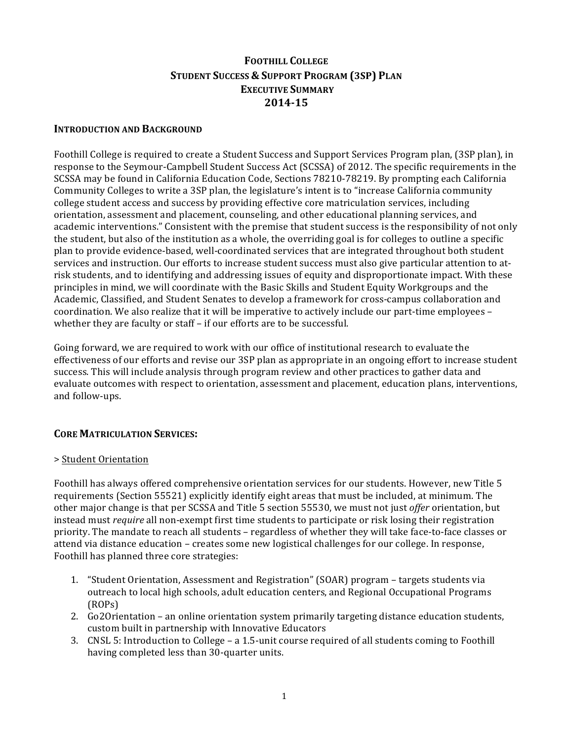# **FOOTHILL'COLLEGE STUDENT'SUCCESS'& SUPPORT'PROGRAM'(3SP) PLAN EXECUTIVE SUMMARY 2014>15**

#### **INTRODUCTION AND BACKGROUND**

Foothill College is required to create a Student Success and Support Services Program plan, (3SP plan), in response to the Seymour-Campbell Student Success Act (SCSSA) of 2012. The specific requirements in the SCSSA may be found in California Education Code, Sections 78210-78219. By prompting each California Community Colleges to write a 3SP plan, the legislature's intent is to "increase California community" college student access and success by providing effective core matriculation services, including orientation, assessment and placement, counseling, and other educational planning services, and academic interventions." Consistent with the premise that student success is the responsibility of not only the student, but also of the institution as a whole, the overriding goal is for colleges to outline a specific plan to provide evidence-based, well-coordinated services that are integrated throughout both student services and instruction. Our efforts to increase student success must also give particular attention to atrisk students, and to identifying and addressing issues of equity and disproportionate impact. With these principles in mind, we will coordinate with the Basic Skills and Student Equity Workgroups and the Academic, Classified, and Student Senates to develop a framework for cross-campus collaboration and coordination. We also realize that it will be imperative to actively include our part-time employees – whether they are faculty or staff – if our efforts are to be successful.

Going forward, we are required to work with our office of institutional research to evaluate the effectiveness of our efforts and revise our 3SP plan as appropriate in an ongoing effort to increase student success. This will include analysis through program review and other practices to gather data and evaluate outcomes with respect to orientation, assessment and placement, education plans, interventions, and follow-ups.

# **CORE MATRICULATION SERVICES:**

#### > Student Orientation

Foothill has always offered comprehensive orientation services for our students. However, new Title 5" requirements (Section 55521) explicitly identify eight areas that must be included, at minimum. The other major change is that per SCSSA and Title 5 section 55530, we must not just *offer* orientation, but instead must *require* all non-exempt first time students to participate or risk losing their registration priority. The mandate to reach all students – regardless of whether they will take face-to-face classes or attend via distance education – creates some new logistical challenges for our college. In response, Foothill has planned three core strategies:

- 1. "Student Orientation, Assessment and Registration" (SOAR) program targets students via outreach to local high schools, adult education centers, and Regional Occupational Programs (ROPs)
- 2. Go2Orientation an online orientation system primarily targeting distance education students, custom built in partnership with Innovative Educators
- 3. CNSL 5: Introduction to College a 1.5-unit course required of all students coming to Foothill having completed less than 30-quarter units.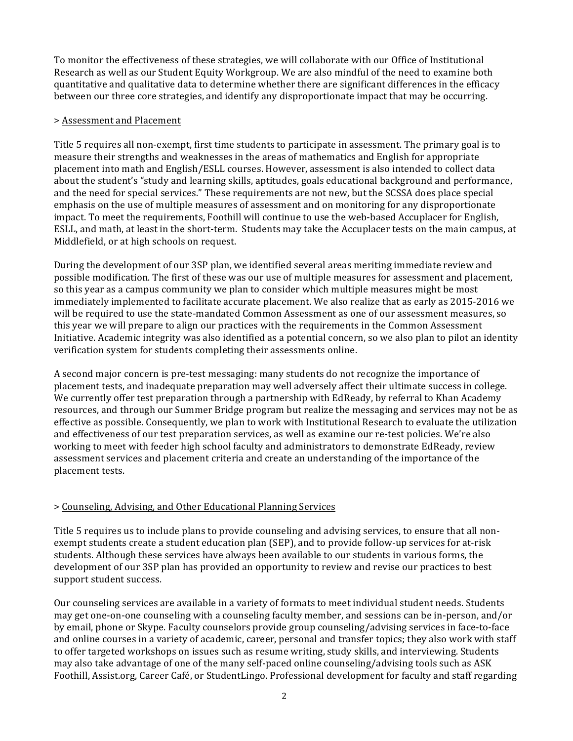To monitor the effectiveness of these strategies, we will collaborate with our Office of Institutional Research as well as our Student Equity Workgroup. We are also mindful of the need to examine both quantitative and qualitative data to determine whether there are significant differences in the efficacy between our three core strategies, and identify any disproportionate impact that may be occurring.

#### $>$  Assessment and Placement

Title 5 requires all non-exempt, first time students to participate in assessment. The primary goal is to measure their strengths and weaknesses in the areas of mathematics and English for appropriate placement into math and English/ESLL courses. However, assessment is also intended to collect data about the student's "study and learning skills, aptitudes, goals educational background and performance, and the need for special services." These requirements are not new, but the SCSSA does place special emphasis on the use of multiple measures of assessment and on monitoring for any disproportionate impact. To meet the requirements, Foothill will continue to use the web-based Accuplacer for English, ESLL, and math, at least in the short-term. Students may take the Accuplacer tests on the main campus, at Middlefield, or at high schools on request.

During the development of our 3SP plan, we identified several areas meriting immediate review and possible modification. The first of these was our use of multiple measures for assessment and placement, so this year as a campus community we plan to consider which multiple measures might be most immediately implemented to facilitate accurate placement. We also realize that as early as 2015-2016 we will be required to use the state-mandated Common Assessment as one of our assessment measures, so this year we will prepare to align our practices with the requirements in the Common Assessment Initiative. Academic integrity was also identified as a potential concern, so we also plan to pilot an identity verification system for students completing their assessments online.

A second major concern is pre-test messaging: many students do not recognize the importance of placement tests, and inadequate preparation may well adversely affect their ultimate success in college. We currently offer test preparation through a partnership with EdReady, by referral to Khan Academy resources, and through our Summer Bridge program but realize the messaging and services may not be as effective as possible. Consequently, we plan to work with Institutional Research to evaluate the utilization and effectiveness of our test preparation services, as well as examine our re-test policies. We're also working to meet with feeder high school faculty and administrators to demonstrate EdReady, review assessment services and placement criteria and create an understanding of the importance of the placement tests.

# $>$  Counseling, Advising, and Other Educational Planning Services"

Title 5 requires us to include plans to provide counseling and advising services, to ensure that all nonexempt students create a student education plan (SEP), and to provide follow-up services for at-risk students. Although these services have always been available to our students in various forms, the development of our 3SP plan has provided an opportunity to review and revise our practices to best support student success.

Our counseling services are available in a variety of formats to meet individual student needs. Students may get one-on-one counseling with a counseling faculty member, and sessions can be in-person, and/or by email, phone or Skype. Faculty counselors provide group counseling/advising services in face-to-face and online courses in a variety of academic, career, personal and transfer topics; they also work with staff to offer targeted workshops on issues such as resume writing, study skills, and interviewing. Students may also take advantage of one of the many self-paced online counseling/advising tools such as ASK Foothill, Assist.org, Career Café, or StudentLingo. Professional development for faculty and staff regarding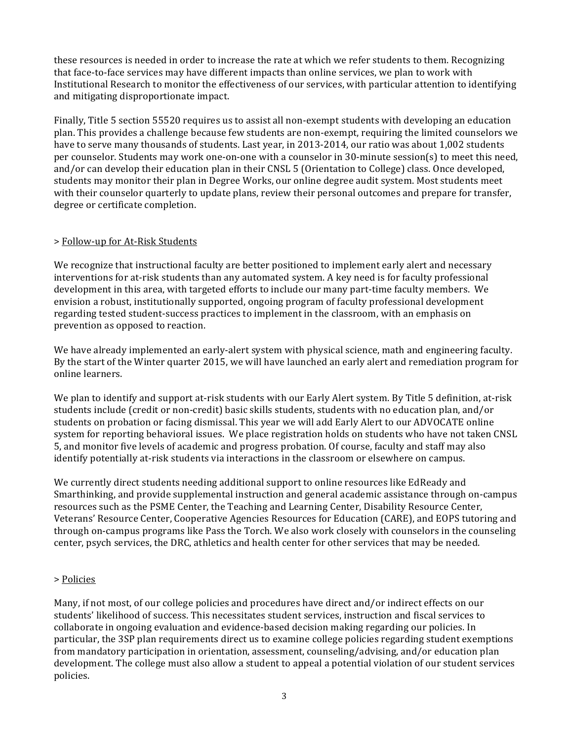these resources is needed in order to increase the rate at which we refer students to them. Recognizing that face-to-face services may have different impacts than online services, we plan to work with Institutional Research to monitor the effectiveness of our services, with particular attention to identifying and mitigating disproportionate impact.

Finally, Title 5 section 55520 requires us to assist all non-exempt students with developing an education plan. This provides a challenge because few students are non-exempt, requiring the limited counselors we have to serve many thousands of students. Last year, in 2013-2014, our ratio was about 1,002 students per counselor. Students may work one-on-one with a counselor in  $30$ -minute session(s) to meet this need, and/or can develop their education plan in their CNSL 5 (Orientation to College) class. Once developed, students may monitor their plan in Degree Works, our online degree audit system. Most students meet with their counselor quarterly to update plans, review their personal outcomes and prepare for transfer, degree or certificate completion.

# > Follow-up for At-Risk Students

We recognize that instructional faculty are better positioned to implement early alert and necessary interventions for at-risk students than any automated system. A key need is for faculty professional development in this area, with targeted efforts to include our many part-time faculty members. We envision a robust, institutionally supported, ongoing program of faculty professional development regarding tested student-success practices to implement in the classroom, with an emphasis on prevention as opposed to reaction.

We have already implemented an early-alert system with physical science, math and engineering faculty. By the start of the Winter quarter 2015, we will have launched an early alert and remediation program for online learners.

We plan to identify and support at-risk students with our Early Alert system. By Title 5 definition, at-risk students include (credit or non-credit) basic skills students, students with no education plan, and/or students on probation or facing dismissal. This year we will add Early Alert to our ADVOCATE online system for reporting behavioral issues. We place registration holds on students who have not taken CNSL 5, and monitor five levels of academic and progress probation. Of course, faculty and staff may also identify potentially at-risk students via interactions in the classroom or elsewhere on campus.

We currently direct students needing additional support to online resources like EdReady and Smarthinking, and provide supplemental instruction and general academic assistance through on-campus" resources such as the PSME Center, the Teaching and Learning Center, Disability Resource Center, Veterans' Resource Center, Cooperative Agencies Resources for Education (CARE), and EOPS tutoring and through on-campus programs like Pass the Torch. We also work closely with counselors in the counseling center, psych services, the DRC, athletics and health center for other services that may be needed.

# > Policies

Many, if not most, of our college policies and procedures have direct and/or indirect effects on our students' likelihood of success. This necessitates student services, instruction and fiscal services to collaborate in ongoing evaluation and evidence-based decision making regarding our policies. In particular, the 3SP plan requirements direct us to examine college policies regarding student exemptions" from mandatory participation in orientation, assessment, counseling/advising, and/or education plan development. The college must also allow a student to appeal a potential violation of our student services policies.